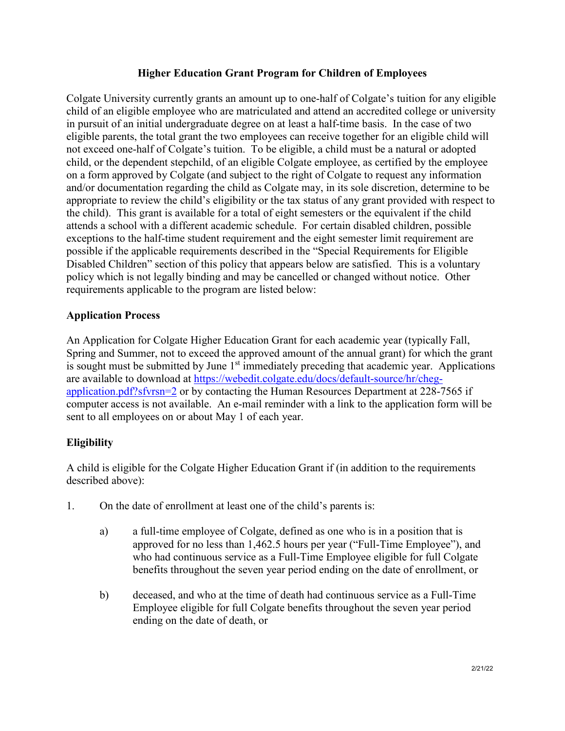## **Higher Education Grant Program for Children of Employees**

Colgate University currently grants an amount up to one-half of Colgate's tuition for any eligible child of an eligible employee who are matriculated and attend an accredited college or university in pursuit of an initial undergraduate degree on at least a half-time basis. In the case of two eligible parents, the total grant the two employees can receive together for an eligible child will not exceed one-half of Colgate's tuition. To be eligible, a child must be a natural or adopted child, or the dependent stepchild, of an eligible Colgate employee, as certified by the employee on a form approved by Colgate (and subject to the right of Colgate to request any information and/or documentation regarding the child as Colgate may, in its sole discretion, determine to be appropriate to review the child's eligibility or the tax status of any grant provided with respect to the child). This grant is available for a total of eight semesters or the equivalent if the child attends a school with a different academic schedule. For certain disabled children, possible exceptions to the half-time student requirement and the eight semester limit requirement are possible if the applicable requirements described in the "Special Requirements for Eligible Disabled Children" section of this policy that appears below are satisfied. This is a voluntary policy which is not legally binding and may be cancelled or changed without notice. Other requirements applicable to the program are listed below:

## **Application Process**

An Application for Colgate Higher Education Grant for each academic year (typically Fall, Spring and Summer, not to exceed the approved amount of the annual grant) for which the grant is sought must be submitted by June  $1<sup>st</sup>$  immediately preceding that academic year. Applications are available to download at [https://webedit.colgate.edu/docs/default-source/hr/cheg](https://webedit.colgate.edu/docs/default-source/hr/cheg-application.pdf?sfvrsn=2)[application.pdf?sfvrsn=2](https://webedit.colgate.edu/docs/default-source/hr/cheg-application.pdf?sfvrsn=2) or by contacting the Human Resources Department at 228-7565 if computer access is not available. An e-mail reminder with a link to the application form will be sent to all employees on or about May 1 of each year.

# **Eligibility**

A child is eligible for the Colgate Higher Education Grant if (in addition to the requirements described above):

- 1. On the date of enrollment at least one of the child's parents is:
	- a) a full-time employee of Colgate, defined as one who is in a position that is approved for no less than 1,462.5 hours per year ("Full-Time Employee"), and who had continuous service as a Full-Time Employee eligible for full Colgate benefits throughout the seven year period ending on the date of enrollment, or
	- b) deceased, and who at the time of death had continuous service as a Full-Time Employee eligible for full Colgate benefits throughout the seven year period ending on the date of death, or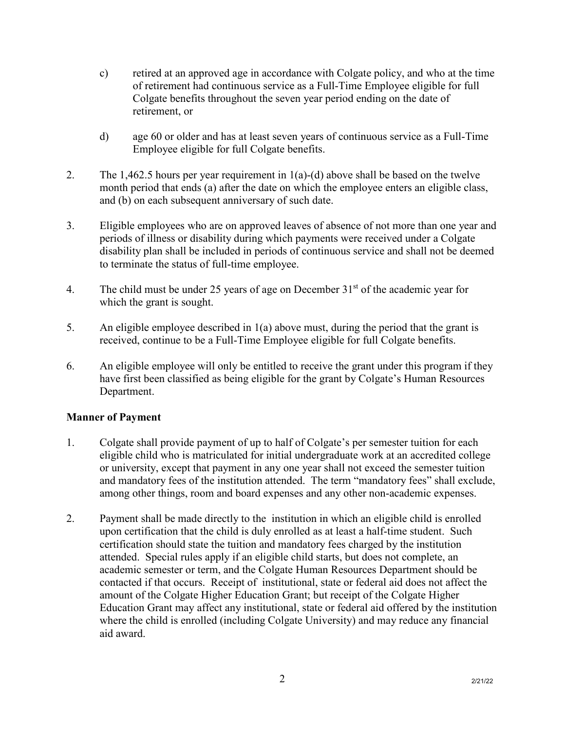- c) retired at an approved age in accordance with Colgate policy, and who at the time of retirement had continuous service as a Full-Time Employee eligible for full Colgate benefits throughout the seven year period ending on the date of retirement, or
- d) age 60 or older and has at least seven years of continuous service as a Full-Time Employee eligible for full Colgate benefits.
- 2. The 1,462.5 hours per year requirement in 1(a)-(d) above shall be based on the twelve month period that ends (a) after the date on which the employee enters an eligible class, and (b) on each subsequent anniversary of such date.
- 3. Eligible employees who are on approved leaves of absence of not more than one year and periods of illness or disability during which payments were received under a Colgate disability plan shall be included in periods of continuous service and shall not be deemed to terminate the status of full-time employee.
- 4. The child must be under 25 years of age on December  $31<sup>st</sup>$  of the academic year for which the grant is sought.
- 5. An eligible employee described in 1(a) above must, during the period that the grant is received, continue to be a Full-Time Employee eligible for full Colgate benefits.
- 6. An eligible employee will only be entitled to receive the grant under this program if they have first been classified as being eligible for the grant by Colgate's Human Resources Department.

# **Manner of Payment**

- 1. Colgate shall provide payment of up to half of Colgate's per semester tuition for each eligible child who is matriculated for initial undergraduate work at an accredited college or university, except that payment in any one year shall not exceed the semester tuition and mandatory fees of the institution attended. The term "mandatory fees" shall exclude, among other things, room and board expenses and any other non-academic expenses.
- 2. Payment shall be made directly to the institution in which an eligible child is enrolled upon certification that the child is duly enrolled as at least a half-time student. Such certification should state the tuition and mandatory fees charged by the institution attended. Special rules apply if an eligible child starts, but does not complete, an academic semester or term, and the Colgate Human Resources Department should be contacted if that occurs. Receipt of institutional, state or federal aid does not affect the amount of the Colgate Higher Education Grant; but receipt of the Colgate Higher Education Grant may affect any institutional, state or federal aid offered by the institution where the child is enrolled (including Colgate University) and may reduce any financial aid award.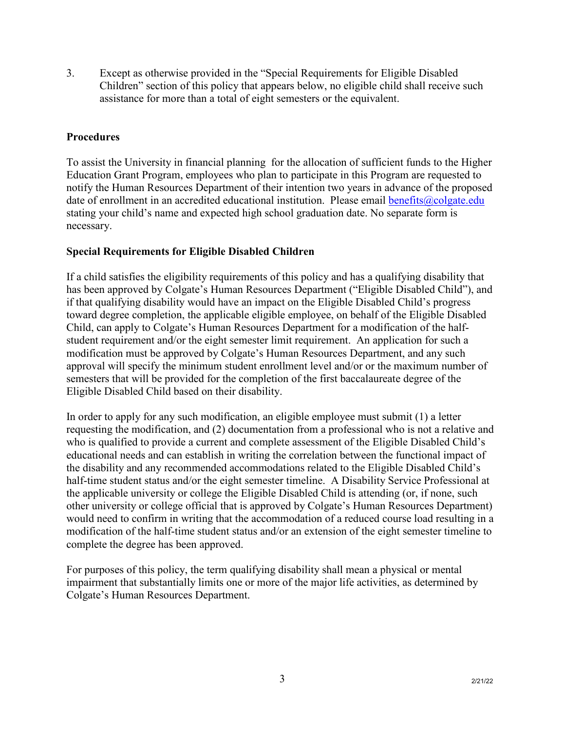3. Except as otherwise provided in the "Special Requirements for Eligible Disabled Children" section of this policy that appears below, no eligible child shall receive such assistance for more than a total of eight semesters or the equivalent.

## **Procedures**

To assist the University in financial planning for the allocation of sufficient funds to the Higher Education Grant Program, employees who plan to participate in this Program are requested to notify the Human Resources Department of their intention two years in advance of the proposed date of enrollment in an accredited educational institution. Please email [benefits@colgate.edu](mailto:benefits@colgate.edu) stating your child's name and expected high school graduation date. No separate form is necessary.

## **Special Requirements for Eligible Disabled Children**

If a child satisfies the eligibility requirements of this policy and has a qualifying disability that has been approved by Colgate's Human Resources Department ("Eligible Disabled Child"), and if that qualifying disability would have an impact on the Eligible Disabled Child's progress toward degree completion, the applicable eligible employee, on behalf of the Eligible Disabled Child, can apply to Colgate's Human Resources Department for a modification of the halfstudent requirement and/or the eight semester limit requirement. An application for such a modification must be approved by Colgate's Human Resources Department, and any such approval will specify the minimum student enrollment level and/or or the maximum number of semesters that will be provided for the completion of the first baccalaureate degree of the Eligible Disabled Child based on their disability.

In order to apply for any such modification, an eligible employee must submit (1) a letter requesting the modification, and (2) documentation from a professional who is not a relative and who is qualified to provide a current and complete assessment of the Eligible Disabled Child's educational needs and can establish in writing the correlation between the functional impact of the disability and any recommended accommodations related to the Eligible Disabled Child's half-time student status and/or the eight semester timeline. A Disability Service Professional at the applicable university or college the Eligible Disabled Child is attending (or, if none, such other university or college official that is approved by Colgate's Human Resources Department) would need to confirm in writing that the accommodation of a reduced course load resulting in a modification of the half-time student status and/or an extension of the eight semester timeline to complete the degree has been approved.

For purposes of this policy, the term qualifying disability shall mean a physical or mental impairment that substantially limits one or more of the major life activities, as determined by Colgate's Human Resources Department.